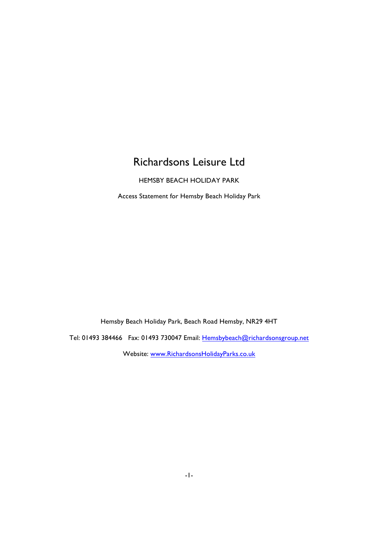# Richardsons Leisure Ltd

HEMSBY BEACH HOLIDAY PARK

Access Statement for Hemsby Beach Holiday Park

Hemsby Beach Holiday Park, Beach Road Hemsby, NR29 4HT

Tel: 01493 384466 Fax: 01493 730047 Email: Hemsbybeach@richardsonsgroup.net

Website: www.RichardsonsHolidayParks.co.uk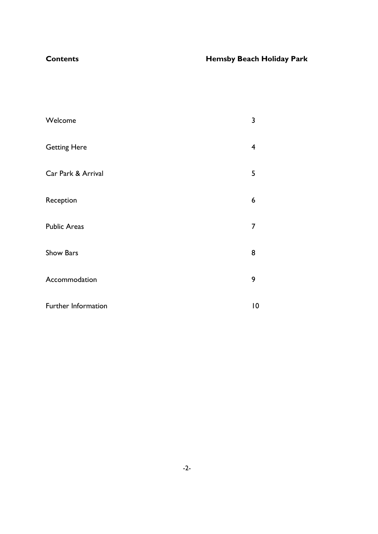## **Contents Hemsby Beach Holiday Park**

| Welcome             | 3                       |
|---------------------|-------------------------|
| <b>Getting Here</b> | $\overline{\mathbf{4}}$ |
| Car Park & Arrival  | 5                       |
| Reception           | 6                       |
| <b>Public Areas</b> | $\overline{7}$          |
| Show Bars           | 8                       |
| Accommodation       | 9                       |
| Further Information | 10                      |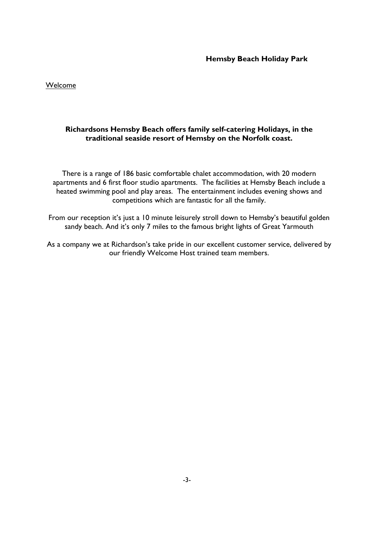Welcome

### **Richardsons Hemsby Beach offers family self-catering Holidays, in the traditional seaside resort of Hemsby on the Norfolk coast.**

There is a range of 186 basic comfortable chalet accommodation, with 20 modern apartments and 6 first floor studio apartments. The facilities at Hemsby Beach include a heated swimming pool and play areas. The entertainment includes evening shows and competitions which are fantastic for all the family.

From our reception it's just a 10 minute leisurely stroll down to Hemsby's beautiful golden sandy beach. And it's only 7 miles to the famous bright lights of Great Yarmouth

As a company we at Richardson's take pride in our excellent customer service, delivered by our friendly Welcome Host trained team members.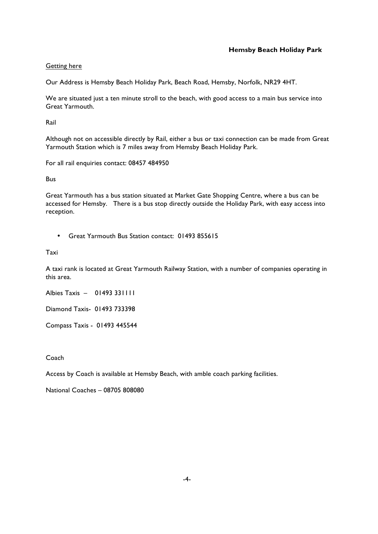#### Getting here

Our Address is Hemsby Beach Holiday Park, Beach Road, Hemsby, Norfolk, NR29 4HT.

We are situated just a ten minute stroll to the beach, with good access to a main bus service into Great Yarmouth.

Rail

Although not on accessible directly by Rail, either a bus or taxi connection can be made from Great Yarmouth Station which is 7 miles away from Hemsby Beach Holiday Park.

For all rail enquiries contact: 08457 484950

Bus

Great Yarmouth has a bus station situated at Market Gate Shopping Centre, where a bus can be accessed for Hemsby. There is a bus stop directly outside the Holiday Park, with easy access into reception.

• Great Yarmouth Bus Station contact: 01493 855615

Taxi

A taxi rank is located at Great Yarmouth Railway Station, with a number of companies operating in this area.

Albies Taxis – 01493 331111

Diamond Taxis- 01493 733398

Compass Taxis - 01493 445544

Coach

Access by Coach is available at Hemsby Beach, with amble coach parking facilities.

National Coaches – 08705 808080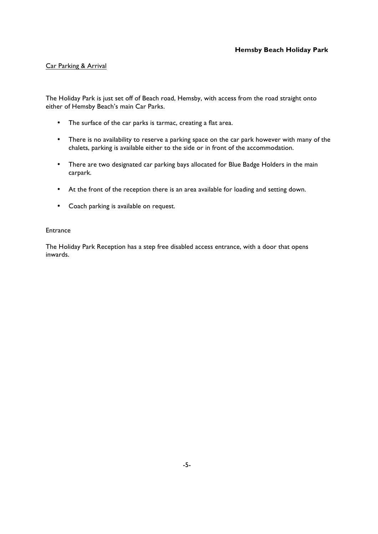#### Car Parking & Arrival

The Holiday Park is just set off of Beach road, Hemsby, with access from the road straight onto either of Hemsby Beach's main Car Parks.

- The surface of the car parks is tarmac, creating a flat area.
- There is no availability to reserve a parking space on the car park however with many of the chalets, parking is available either to the side or in front of the accommodation.
- There are two designated car parking bays allocated for Blue Badge Holders in the main carpark.
- At the front of the reception there is an area available for loading and setting down.
- Coach parking is available on request.

#### **Entrance**

The Holiday Park Reception has a step free disabled access entrance, with a door that opens inwards.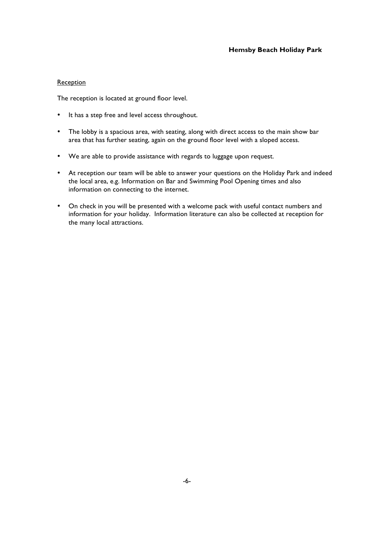#### **Reception**

The reception is located at ground floor level.

- It has a step free and level access throughout.
- The lobby is a spacious area, with seating, along with direct access to the main show bar area that has further seating, again on the ground floor level with a sloped access.
- We are able to provide assistance with regards to luggage upon request.
- At reception our team will be able to answer your questions on the Holiday Park and indeed the local area, e.g. Information on Bar and Swimming Pool Opening times and also information on connecting to the internet.
- On check in you will be presented with a welcome pack with useful contact numbers and information for your holiday. Information literature can also be collected at reception for the many local attractions.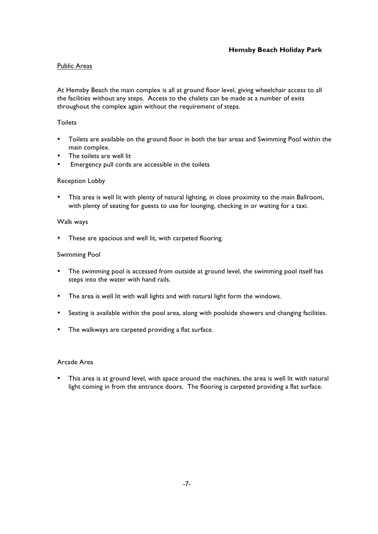#### Public Areas

At Hemsby Beach the main complex is all at ground floor level, giving wheelchair access to all the facilities without any steps. Access to the chalets can be made at a number of exits throughout the complex again without the requirement of steps.

#### Toilets

- Toilets are available on the ground floor in both the bar areas and Swimming Pool within the main complex.
- The toilets are well lit
- Emergency pull cords are accessible in the toilets

#### Reception Lobby

This area is well lit with plenty of natural lighting, in close proximity to the main Ballroom, with plenty of seating for guests to use for lounging, checking in or waiting for a taxi.

#### Walk ways

• These are spacious and well lit, with carpeted flooring.

#### Swimming Pool

- The swimming pool is accessed from outside at ground level, the swimming pool itself has steps into the water with hand rails.
- The area is well lit with wall lights and with natural light form the windows.
- Seating is available within the pool area, along with poolside showers and changing facilities.
- The walkways are carpeted providing a flat surface.

#### Arcade Area

This area is at ground level, with space around the machines, the area is well lit with natural light coming in from the entrance doors. The flooring is carpeted providing a flat surface.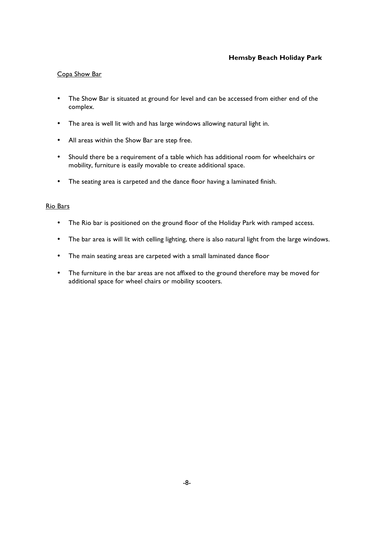#### Copa Show Bar

- The Show Bar is situated at ground for level and can be accessed from either end of the complex.
- The area is well lit with and has large windows allowing natural light in.
- All areas within the Show Bar are step free.
- Should there be a requirement of a table which has additional room for wheelchairs or mobility, furniture is easily movable to create additional space.
- The seating area is carpeted and the dance floor having a laminated finish.

#### Rio Bars

- The Rio bar is positioned on the ground floor of the Holiday Park with ramped access.
- The bar area is will lit with celling lighting, there is also natural light from the large windows.
- The main seating areas are carpeted with a small laminated dance floor
- The furniture in the bar areas are not affixed to the ground therefore may be moved for additional space for wheel chairs or mobility scooters.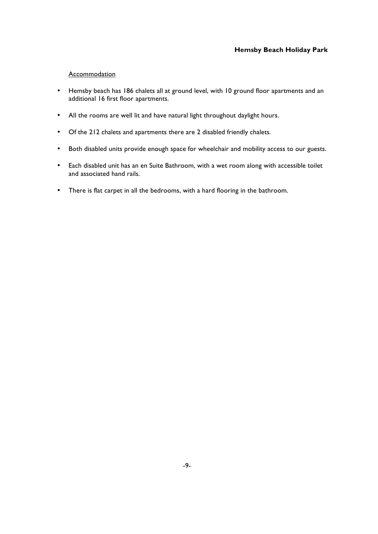#### Accommodation

- Hemsby beach has 186 chalets all at ground level, with 10 ground floor apartments and an additional 16 first floor apartments.
- All the rooms are well lit and have natural light throughout daylight hours.
- Of the 212 chalets and apartments there are 2 disabled friendly chalets.
- Both disabled units provide enough space for wheelchair and mobility access to our guests.
- Each disabled unit has an en Suite Bathroom, with a wet room along with accessible toilet and associated hand rails.
- There is flat carpet in all the bedrooms, with a hard flooring in the bathroom.